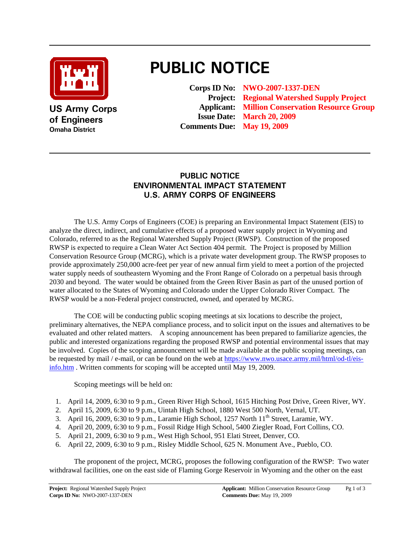

**US Army Corps of Engineers Omaha District**

## **PUBLIC NOTICE**

**Corps ID No: NWO-2007-1337-DEN Project: Regional Watershed Supply Project Applicant: Million Conservation Resource Group Issue Date: March 20, 2009 Comments Due: May 19, 2009**

## **PUBLIC NOTICE ENVIRONMENTAL IMPACT STATEMENT U.S. ARMY CORPS OF ENGINEERS**

The U.S. Army Corps of Engineers (COE) is preparing an Environmental Impact Statement (EIS) to analyze the direct, indirect, and cumulative effects of a proposed water supply project in Wyoming and Colorado, referred to as the Regional Watershed Supply Project (RWSP). Construction of the proposed RWSP is expected to require a Clean Water Act Section 404 permit. The Project is proposed by Million Conservation Resource Group (MCRG), which is a private water development group. The RWSP proposes to provide approximately 250,000 acre-feet per year of new annual firm yield to meet a portion of the projected water supply needs of southeastern Wyoming and the Front Range of Colorado on a perpetual basis through 2030 and beyond. The water would be obtained from the Green River Basin as part of the unused portion of water allocated to the States of Wyoming and Colorado under the Upper Colorado River Compact. The RWSP would be a non-Federal project constructed, owned, and operated by MCRG.

The COE will be conducting public scoping meetings at six locations to describe the project, preliminary alternatives, the NEPA compliance process, and to solicit input on the issues and alternatives to be evaluated and other related matters. A scoping announcement has been prepared to familiarize agencies, the public and interested organizations regarding the proposed RWSP and potential environmental issues that may be involved. Copies of the scoping announcement will be made available at the public scoping meetings, can be requested by mail / e-mail, or can be found on the web at [https://www.nwo.usace.army.mil/html/od-tl/eis](https://www.nwo.usace.army.mil/html/od-tl/eis-info.htm)[info.htm](https://www.nwo.usace.army.mil/html/od-tl/eis-info.htm) . Written comments for scoping will be accepted until May 19, 2009.

Scoping meetings will be held on:

- 1. April 14, 2009, 6:30 to 9 p.m., Green River High School, 1615 Hitching Post Drive, Green River, WY.
- 2. April 15, 2009, 6:30 to 9 p.m., Uintah High School, 1880 West 500 North, Vernal, UT.
- 3. April 16, 2009, 6:30 to 9 p.m., Laramie High School, 1257 North 11<sup>th</sup> Street, Laramie, WY.
- 4. April 20, 2009, 6:30 to 9 p.m., Fossil Ridge High School, 5400 Ziegler Road, Fort Collins, CO.
- 5. April 21, 2009, 6:30 to 9 p.m., West High School, 951 Elati Street, Denver, CO.
- 6. April 22, 2009, 6:30 to 9 p.m., Risley Middle School, 625 N. Monument Ave., Pueblo, CO.

The proponent of the project, MCRG, proposes the following configuration of the RWSP: Two water withdrawal facilities, one on the east side of Flaming Gorge Reservoir in Wyoming and the other on the east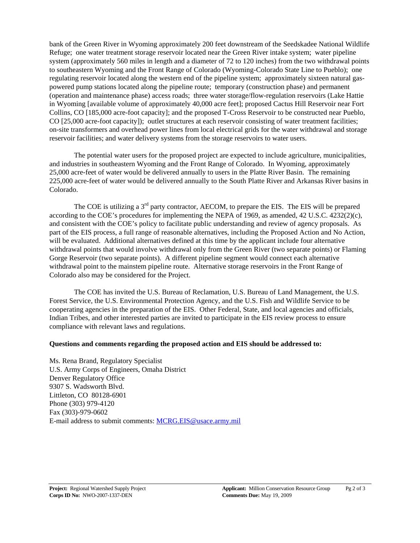bank of the Green River in Wyoming approximately 200 feet downstream of the Seedskadee National Wildlife Refuge; one water treatment storage reservoir located near the Green River intake system; water pipeline system (approximately 560 miles in length and a diameter of 72 to 120 inches) from the two withdrawal points to southeastern Wyoming and the Front Range of Colorado (Wyoming-Colorado State Line to Pueblo); one regulating reservoir located along the western end of the pipeline system; approximately sixteen natural gaspowered pump stations located along the pipeline route; temporary (construction phase) and permanent (operation and maintenance phase) access roads; three water storage/flow-regulation reservoirs (Lake Hattie in Wyoming [available volume of approximately 40,000 acre feet]; proposed Cactus Hill Reservoir near Fort Collins, CO [185,000 acre-foot capacity]; and the proposed T-Cross Reservoir to be constructed near Pueblo, CO [25,000 acre-foot capacity]); outlet structures at each reservoir consisting of water treatment facilities; on-site transformers and overhead power lines from local electrical grids for the water withdrawal and storage reservoir facilities; and water delivery systems from the storage reservoirs to water users.

The potential water users for the proposed project are expected to include agriculture, municipalities, and industries in southeastern Wyoming and the Front Range of Colorado. In Wyoming, approximately 25,000 acre-feet of water would be delivered annually to users in the Platte River Basin. The remaining 225,000 acre-feet of water would be delivered annually to the South Platte River and Arkansas River basins in Colorado.

The COE is utilizing a 3<sup>rd</sup> party contractor, AECOM, to prepare the EIS. The EIS will be prepared according to the COE's procedures for implementing the NEPA of 1969, as amended, 42 U.S.C. 4232(2)(c), and consistent with the COE's policy to facilitate public understanding and review of agency proposals. As part of the EIS process, a full range of reasonable alternatives, including the Proposed Action and No Action, will be evaluated. Additional alternatives defined at this time by the applicant include four alternative withdrawal points that would involve withdrawal only from the Green River (two separate points) or Flaming Gorge Reservoir (two separate points). A different pipeline segment would connect each alternative withdrawal point to the mainstem pipeline route. Alternative storage reservoirs in the Front Range of Colorado also may be considered for the Project.

The COE has invited the U.S. Bureau of Reclamation, U.S. Bureau of Land Management, the U.S. Forest Service, the U.S. Environmental Protection Agency, and the U.S. Fish and Wildlife Service to be cooperating agencies in the preparation of the EIS. Other Federal, State, and local agencies and officials, Indian Tribes, and other interested parties are invited to participate in the EIS review process to ensure compliance with relevant laws and regulations.

## **Questions and comments regarding the proposed action and EIS should be addressed to:**

Ms. Rena Brand, Regulatory Specialist U.S. Army Corps of Engineers, Omaha District Denver Regulatory Office 9307 S. Wadsworth Blvd. Littleton, CO 80128-6901 Phone (303) 979-4120 Fax (303)-979-0602 E-mail address to submit comments: [MCRG.EIS@usace.army.mil](mailto:MCRG.EIS@usace.army.mil)